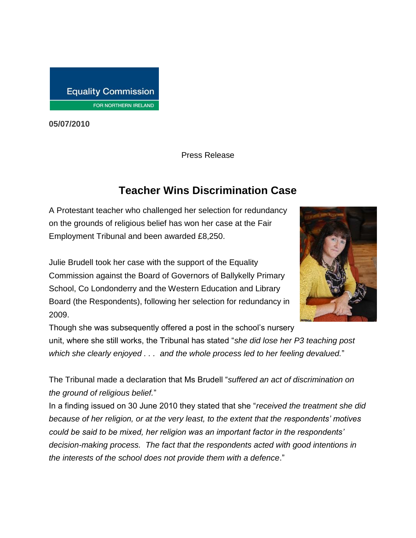

**05/07/2010**

Press Release

## **Teacher Wins Discrimination Case**

A Protestant teacher who challenged her selection for redundancy on the grounds of religious belief has won her case at the Fair Employment Tribunal and been awarded £8,250.

Julie Brudell took her case with the support of the Equality Commission against the Board of Governors of Ballykelly Primary School, Co Londonderry and the Western Education and Library Board (the Respondents), following her selection for redundancy in 2009.



Though she was subsequently offered a post in the school's nursery unit, where she still works, the Tribunal has stated "*she did lose her P3 teaching post which she clearly enjoyed . . . and the whole process led to her feeling devalued.*"

The Tribunal made a declaration that Ms Brudell "*suffered an act of discrimination on the ground of religious belief.*"

In a finding issued on 30 June 2010 they stated that she "*received the treatment she did because of her religion, or at the very least, to the extent that the respondents' motives could be said to be mixed, her religion was an important factor in the respondents' decision-making process. The fact that the respondents acted with good intentions in the interests of the school does not provide them with a defence*."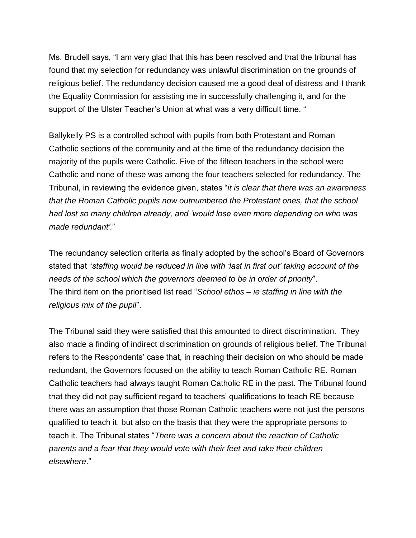Ms. Brudell says, "I am very glad that this has been resolved and that the tribunal has found that my selection for redundancy was unlawful discrimination on the grounds of religious belief. The redundancy decision caused me a good deal of distress and I thank the Equality Commission for assisting me in successfully challenging it, and for the support of the Ulster Teacher's Union at what was a very difficult time. "

Ballykelly PS is a controlled school with pupils from both Protestant and Roman Catholic sections of the community and at the time of the redundancy decision the majority of the pupils were Catholic. Five of the fifteen teachers in the school were Catholic and none of these was among the four teachers selected for redundancy. The Tribunal, in reviewing the evidence given, states "*it is clear that there was an awareness that the Roman Catholic pupils now outnumbered the Protestant ones, that the school had lost so many children already, and 'would lose even more depending on who was made redundant'.*"

The redundancy selection criteria as finally adopted by the school's Board of Governors stated that "*staffing would be reduced in line with 'last in first out' taking account of the needs of the school which the governors deemed to be in order of priority*". The third item on the prioritised list read "*School ethos – ie staffing in line with the religious mix of the pupil*".

The Tribunal said they were satisfied that this amounted to direct discrimination. They also made a finding of indirect discrimination on grounds of religious belief. The Tribunal refers to the Respondents' case that, in reaching their decision on who should be made redundant, the Governors focused on the ability to teach Roman Catholic RE. Roman Catholic teachers had always taught Roman Catholic RE in the past. The Tribunal found that they did not pay sufficient regard to teachers' qualifications to teach RE because there was an assumption that those Roman Catholic teachers were not just the persons qualified to teach it, but also on the basis that they were the appropriate persons to teach it. The Tribunal states "*There was a concern about the reaction of Catholic parents and a fear that they would vote with their feet and take their children elsewhere*."